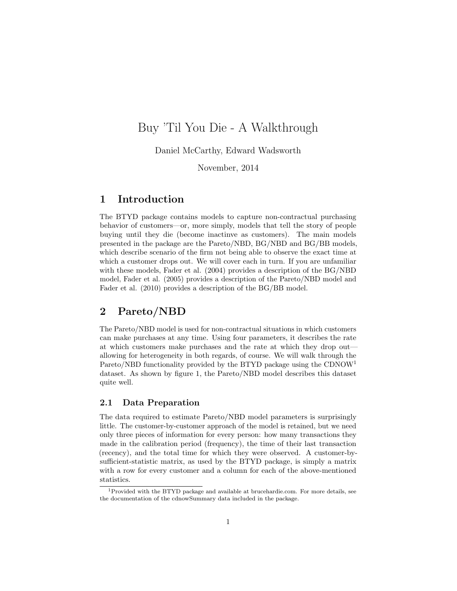# Buy 'Til You Die - A Walkthrough

Daniel McCarthy, Edward Wadsworth

November, 2014

### 1 Introduction

The BTYD package contains models to capture non-contractual purchasing behavior of customers—or, more simply, models that tell the story of people buying until they die (become inactinve as customers). The main models presented in the package are the Pareto/NBD, BG/NBD and BG/BB models, which describe scenario of the firm not being able to observe the exact time at which a customer drops out. We will cover each in turn. If you are unfamiliar with these models, Fader et al. (2004) provides a description of the BG/NBD model, Fader et al. (2005) provides a description of the Pareto/NBD model and Fader et al. (2010) provides a description of the BG/BB model.

### 2 Pareto/NBD

The Pareto/NBD model is used for non-contractual situations in which customers can make purchases at any time. Using four parameters, it describes the rate at which customers make purchases and the rate at which they drop out allowing for heterogeneity in both regards, of course. We will walk through the Pareto/NBD functionality provided by the BTYD package using the CDNOW<sup>[1](#page-0-0)</sup> dataset. As shown by figure [1,](#page-1-0) the Pareto/NBD model describes this dataset quite well.

### 2.1 Data Preparation

The data required to estimate Pareto/NBD model parameters is surprisingly little. The customer-by-customer approach of the model is retained, but we need only three pieces of information for every person: how many transactions they made in the calibration period (frequency), the time of their last transaction (recency), and the total time for which they were observed. A customer-bysufficient-statistic matrix, as used by the BTYD package, is simply a matrix with a row for every customer and a column for each of the above-mentioned statistics.

<span id="page-0-0"></span> $1$ Provided with the BTYD package and available at [brucehardie.com.](http://www.brucehardie.com) For more details, see the documentation of the cdnowSummary data included in the package.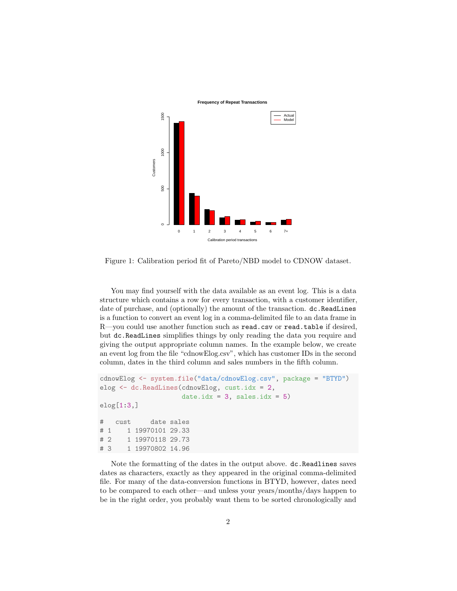

<span id="page-1-0"></span>Figure 1: Calibration period fit of Pareto/NBD model to CDNOW dataset.

You may find yourself with the data available as an event log. This is a data structure which contains a row for every transaction, with a customer identifier, date of purchase, and (optionally) the amount of the transaction.  $dc$  ReadLines is a function to convert an event log in a comma-delimited file to an data frame in R—you could use another function such as read.csv or read.table if desired, but dc.ReadLines simplifies things by only reading the data you require and giving the output appropriate column names. In the example below, we create an event log from the file "cdnowElog.csv", which has customer IDs in the second column, dates in the third column and sales numbers in the fifth column.

```
cdnowElog <- system.file("data/cdnowElog.csv", package = "BTYD")
elog <- dc.ReadLines(cdnowElog, cust.idx = 2,
                    date.idx = 3, sales.idx = 5)
elog[1:3,]
# cust date sales
# 1 1 19970101 29.33
# 2 1 19970118 29.73
# 3 1 19970802 14.96
```
Note the formatting of the dates in the output above. dc.Readlines saves dates as characters, exactly as they appeared in the original comma-delimited file. For many of the data-conversion functions in BTYD, however, dates need to be compared to each other—and unless your years/months/days happen to be in the right order, you probably want them to be sorted chronologically and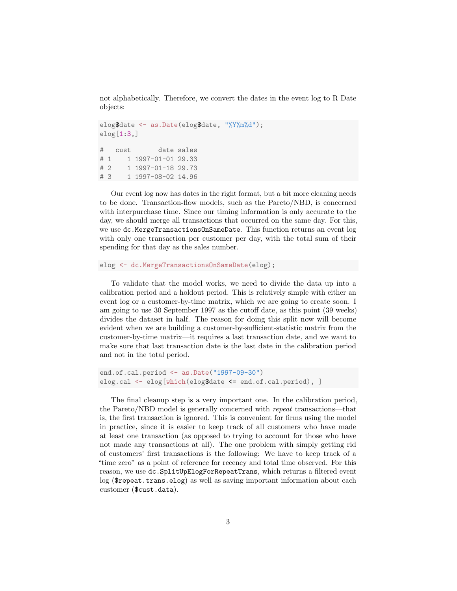not alphabetically. Therefore, we convert the dates in the event log to R Date objects:

```
elog$date <- as.Date(elog$date, "%Y%m%d");
elog[1:3]# cust date sales
# 1 1 1997-01-01 29.33
# 2 1 1997-01-18 29.73
# 3 1 1997-08-02 14.96
```
Our event log now has dates in the right format, but a bit more cleaning needs to be done. Transaction-flow models, such as the Pareto/NBD, is concerned with interpurchase time. Since our timing information is only accurate to the day, we should merge all transactions that occurred on the same day. For this, we use dc.MergeTransactionsOnSameDate. This function returns an event log with only one transaction per customer per day, with the total sum of their spending for that day as the sales number.

```
elog <- dc.MergeTransactionsOnSameDate(elog);
```
To validate that the model works, we need to divide the data up into a calibration period and a holdout period. This is relatively simple with either an event log or a customer-by-time matrix, which we are going to create soon. I am going to use 30 September 1997 as the cutoff date, as this point (39 weeks) divides the dataset in half. The reason for doing this split now will become evident when we are building a customer-by-sufficient-statistic matrix from the customer-by-time matrix—it requires a last transaction date, and we want to make sure that last transaction date is the last date in the calibration period and not in the total period.

```
end.of.cal.period <- as.Date("1997-09-30")
elog.cal <- elog[which(elog$date <= end.of.cal.period), ]
```
The final cleanup step is a very important one. In the calibration period, the Pareto/NBD model is generally concerned with repeat transactions—that is, the first transaction is ignored. This is convenient for firms using the model in practice, since it is easier to keep track of all customers who have made at least one transaction (as opposed to trying to account for those who have not made any transactions at all). The one problem with simply getting rid of customers' first transactions is the following: We have to keep track of a "time zero" as a point of reference for recency and total time observed. For this reason, we use dc.SplitUpElogForRepeatTrans, which returns a filtered event log (\$repeat.trans.elog) as well as saving important information about each customer (\$cust.data).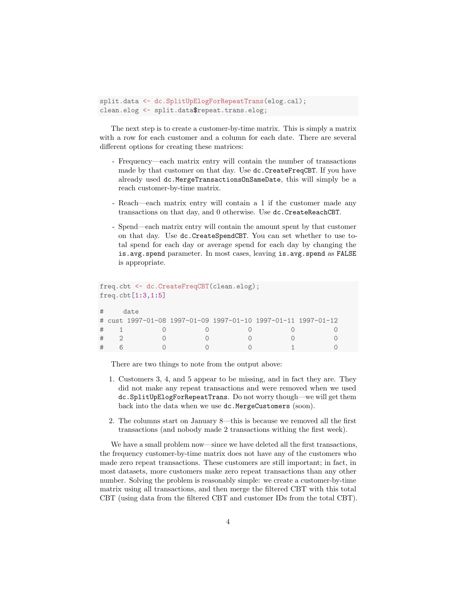```
split.data <- dc.SplitUpElogForRepeatTrans(elog.cal);
clean.elog <- split.data$repeat.trans.elog;
```
The next step is to create a customer-by-time matrix. This is simply a matrix with a row for each customer and a column for each date. There are several different options for creating these matrices:

- Frequency—each matrix entry will contain the number of transactions made by that customer on that day. Use dc.CreateFreqCBT. If you have already used dc.MergeTransactionsOnSameDate, this will simply be a reach customer-by-time matrix.
- Reach—each matrix entry will contain a 1 if the customer made any transactions on that day, and 0 otherwise. Use dc.CreateReachCBT.
- Spend—each matrix entry will contain the amount spent by that customer on that day. Use dc.CreateSpendCBT. You can set whether to use total spend for each day or average spend for each day by changing the is.avg.spend parameter. In most cases, leaving is.avg.spend as FALSE is appropriate.

```
freq.cbt <- dc.CreateFreqCBT(clean.elog);
freq.cbt[1:3,1:5]
# date
# cust 1997-01-08 1997-01-09 1997-01-10 1997-01-11 1997-01-12
# 1 0 0 0 0 0
# 2 0 0 0 0 0
# 6 0 0 0 1 0
```
There are two things to note from the output above:

- 1. Customers 3, 4, and 5 appear to be missing, and in fact they are. They did not make any repeat transactions and were removed when we used dc.SplitUpElogForRepeatTrans. Do not worry though—we will get them back into the data when we use dc.MergeCustomers (soon).
- 2. The columns start on January 8—this is because we removed all the first transactions (and nobody made 2 transactions withing the first week).

We have a small problem now—since we have deleted all the first transactions, the frequency customer-by-time matrix does not have any of the customers who made zero repeat transactions. These customers are still important; in fact, in most datasets, more customers make zero repeat transactions than any other number. Solving the problem is reasonably simple: we create a customer-by-time matrix using all transactions, and then merge the filtered CBT with this total CBT (using data from the filtered CBT and customer IDs from the total CBT).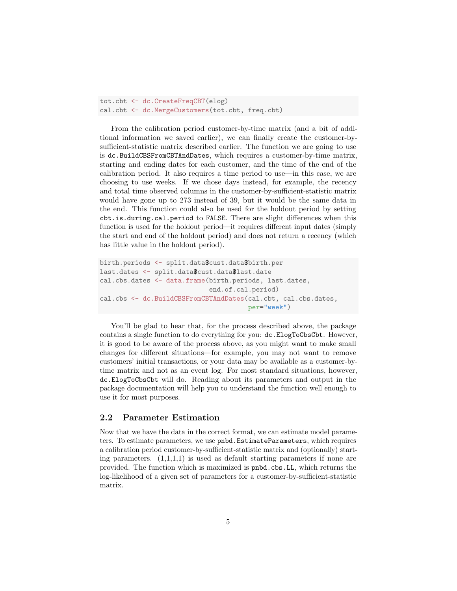tot.cbt <- dc.CreateFreqCBT(elog) cal.cbt <- dc.MergeCustomers(tot.cbt, freq.cbt)

From the calibration period customer-by-time matrix (and a bit of additional information we saved earlier), we can finally create the customer-bysufficient-statistic matrix described earlier. The function we are going to use is dc.BuildCBSFromCBTAndDates, which requires a customer-by-time matrix, starting and ending dates for each customer, and the time of the end of the calibration period. It also requires a time period to use—in this case, we are choosing to use weeks. If we chose days instead, for example, the recency and total time observed columns in the customer-by-sufficient-statistic matrix would have gone up to 273 instead of 39, but it would be the same data in the end. This function could also be used for the holdout period by setting cbt.is.during.cal.period to FALSE. There are slight differences when this function is used for the holdout period—it requires different input dates (simply the start and end of the holdout period) and does not return a recency (which has little value in the holdout period).

```
birth.periods <- split.data$cust.data$birth.per
last.dates <- split.data$cust.data$last.date
cal.cbs.dates <- data.frame(birth.periods, last.dates,
                            end.of.cal.period)
cal.cbs <- dc.BuildCBSFromCBTAndDates(cal.cbt, cal.cbs.dates,
                                      per="week")
```
You'll be glad to hear that, for the process described above, the package contains a single function to do everything for you: dc.ElogToCbsCbt. However, it is good to be aware of the process above, as you might want to make small changes for different situations—for example, you may not want to remove customers' initial transactions, or your data may be available as a customer-bytime matrix and not as an event log. For most standard situations, however, dc.ElogToCbsCbt will do. Reading about its parameters and output in the package documentation will help you to understand the function well enough to use it for most purposes.

#### 2.2 Parameter Estimation

Now that we have the data in the correct format, we can estimate model parameters. To estimate parameters, we use pnbd.EstimateParameters, which requires a calibration period customer-by-sufficient-statistic matrix and (optionally) starting parameters.  $(1,1,1,1)$  is used as default starting parameters if none are provided. The function which is maximized is pnbd.cbs.LL, which returns the log-likelihood of a given set of parameters for a customer-by-sufficient-statistic matrix.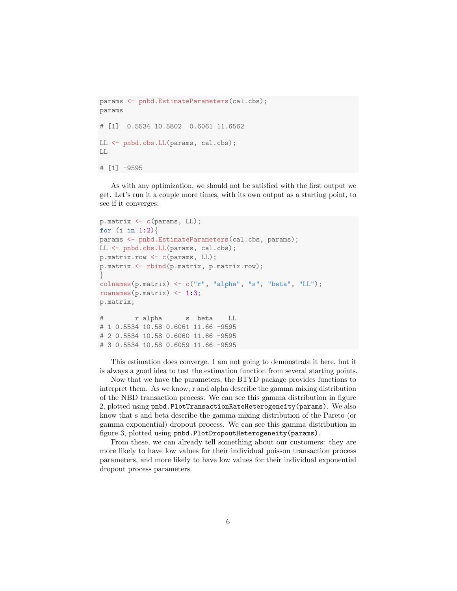```
params <- pnbd.EstimateParameters(cal.cbs);
params
# [1] 0.5534 10.5802 0.6061 11.6562
LL <- pnbd.cbs.LL(params, cal.cbs);
LL
# [1] -9595
```
As with any optimization, we should not be satisfied with the first output we get. Let's run it a couple more times, with its own output as a starting point, to see if it converges:

```
p.matrix <- c(params, LL);
for (i \text{ in } 1:2)params <- pnbd.EstimateParameters(cal.cbs, params);
LL <- pnbd.cbs.LL(params, cal.cbs);
p.matrix.row <- c(params, LL);
p.matrix <- rbind(p.matrix, p.matrix.row);
}
colnames(p.matrix) \leq c("r", "alpha", "s", "beta", "LL");rownames(p.matrix) \leq -1:3;
p.matrix;
# r alpha s beta LL
# 1 0.5534 10.58 0.6061 11.66 -9595
# 2 0.5534 10.58 0.6060 11.66 -9595
# 3 0.5534 10.58 0.6059 11.66 -9595
```
This estimation does converge. I am not going to demonstrate it here, but it is always a good idea to test the estimation function from several starting points.

Now that we have the parameters, the BTYD package provides functions to interpret them. As we know, r and alpha describe the gamma mixing distribution of the NBD transaction process. We can see this gamma distribution in figure [2,](#page-6-0) plotted using pnbd.PlotTransactionRateHeterogeneity(params). We also know that s and beta describe the gamma mixing distribution of the Pareto (or gamma exponential) dropout process. We can see this gamma distribution in figure [3,](#page-6-1) plotted using pnbd.PlotDropoutHeterogeneity(params).

From these, we can already tell something about our customers: they are more likely to have low values for their individual poisson transaction process parameters, and more likely to have low values for their individual exponential dropout process parameters.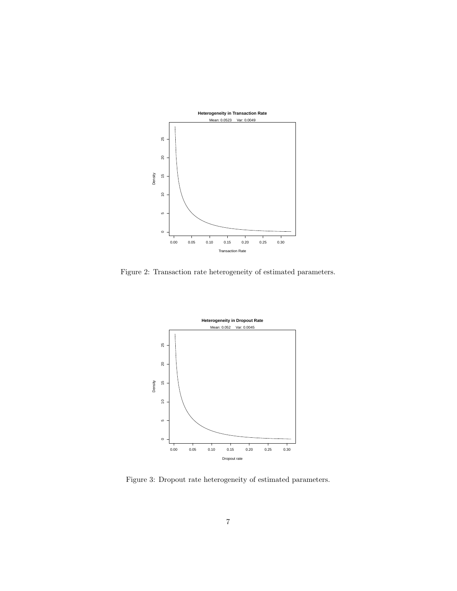

<span id="page-6-0"></span>Figure 2: Transaction rate heterogeneity of estimated parameters.



<span id="page-6-1"></span>Figure 3: Dropout rate heterogeneity of estimated parameters.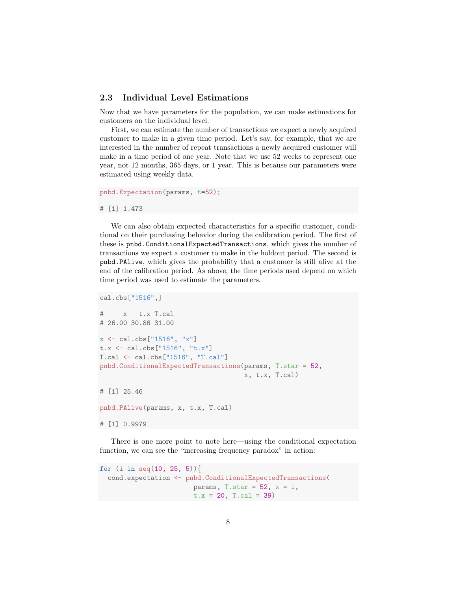#### 2.3 Individual Level Estimations

Now that we have parameters for the population, we can make estimations for customers on the individual level.

First, we can estimate the number of transactions we expect a newly acquired customer to make in a given time period. Let's say, for example, that we are interested in the number of repeat transactions a newly acquired customer will make in a time period of one year. Note that we use 52 weeks to represent one year, not 12 months, 365 days, or 1 year. This is because our parameters were estimated using weekly data.

```
pnbd.Expectation(params, t=52);
```
# [1] 1.473

We can also obtain expected characteristics for a specific customer, conditional on their purchasing behavior during the calibration period. The first of these is pnbd.ConditionalExpectedTransactions, which gives the number of transactions we expect a customer to make in the holdout period. The second is pnbd.PAlive, which gives the probability that a customer is still alive at the end of the calibration period. As above, the time periods used depend on which time period was used to estimate the parameters.

```
cal.cbs["1516",]
# x t.x T.cal
# 26.00 30.86 31.00
x \le - cal.cbs["1516", "x"]
t.x <- cal.cbs["1516", "t.x"]
T.cal <- cal.cbs["1516", "T.cal"]
pnbd.ConditionalExpectedTransactions(params, T.star = 52,
                                     x, t.x, T.cal)
# [1] 25.46
pnbd.PAlive(params, x, t.x, T.cal)
# [1] 0.9979
```
There is one more point to note here—using the conditional expectation function, we can see the "increasing frequency paradox" in action:

```
for (i in seq(10, 25, 5)){
  cond.expectation <- pnbd.ConditionalExpectedTransactions(
                        params, T.star = 52, x = i,
                        t.x = 20, T.ca1 = 39)
```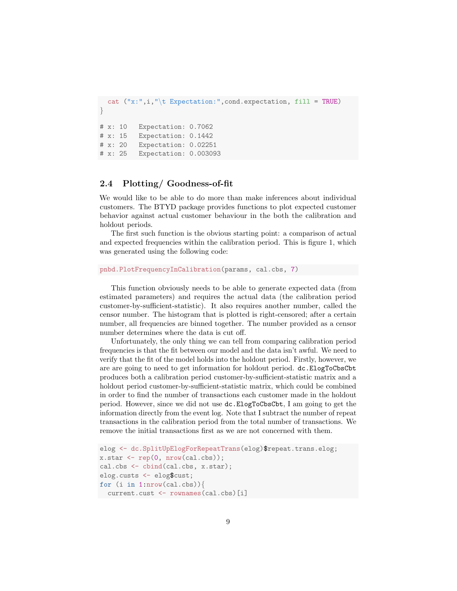```
cat ("x:", i, "\t Expectation:", cond.expectation, fill = TRUE)
}
# x: 10 Expectation: 0.7062
# x: 15 Expectation: 0.1442
# x: 20 Expectation: 0.02251
# x: 25 Expectation: 0.003093
```
#### <span id="page-8-0"></span>2.4 Plotting/ Goodness-of-fit

We would like to be able to do more than make inferences about individual customers. The BTYD package provides functions to plot expected customer behavior against actual customer behaviour in the both the calibration and holdout periods.

The first such function is the obvious starting point: a comparison of actual and expected frequencies within the calibration period. This is figure [1,](#page-1-0) which was generated using the following code:

```
pnbd.PlotFrequencyInCalibration(params, cal.cbs, 7)
```
This function obviously needs to be able to generate expected data (from estimated parameters) and requires the actual data (the calibration period customer-by-sufficient-statistic). It also requires another number, called the censor number. The histogram that is plotted is right-censored; after a certain number, all frequencies are binned together. The number provided as a censor number determines where the data is cut off.

Unfortunately, the only thing we can tell from comparing calibration period frequencies is that the fit between our model and the data isn't awful. We need to verify that the fit of the model holds into the holdout period. Firstly, however, we are are going to need to get information for holdout period. dc.ElogToCbsCbt produces both a calibration period customer-by-sufficient-statistic matrix and a holdout period customer-by-sufficient-statistic matrix, which could be combined in order to find the number of transactions each customer made in the holdout period. However, since we did not use dc.ElogToCbsCbt, I am going to get the information directly from the event log. Note that I subtract the number of repeat transactions in the calibration period from the total number of transactions. We remove the initial transactions first as we are not concerned with them.

```
elog <- dc.SplitUpElogForRepeatTrans(elog)$repeat.trans.elog;
x.start \leftarrow rep(0, nrow(cal.cbs));cal.cbs <- cbind(cal.cbs, x.star);
elog.custs <- elog$cust;
for (i in 1:nrow(cal.cbs)){
  current.cust <- rownames(cal.cbs)[i]
```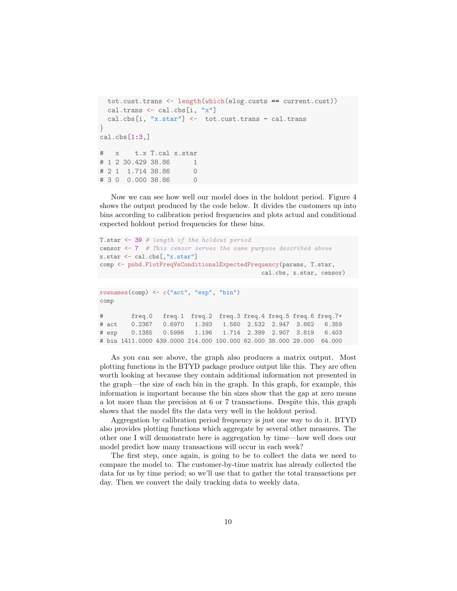```
tot.cust.trans <- length(which(elog.custs == current.cust))
 cal.trans <- cal.cbs[i, "x"]
 cal.cbs[i, "x.star"] <- tot.cust.trans - cal.trans
}
cal.cbs[1:3,]
# x t.x T.cal x.star
# 1 2 30.429 38.86 1
# 2 1 1.714 38.86 0
# 3 0 0.000 38.86 0
```
Now we can see how well our model does in the holdout period. Figure [4](#page-10-0) shows the output produced by the code below. It divides the customers up into bins according to calibration period frequencies and plots actual and conditional expected holdout period frequencies for these bins.

```
T.star <- 39 # length of the holdout period
censor \leq -7 # This censor serves the same purpose described above
x.star <- cal.cbs[,"x.star"]
comp <- pnbd.PlotFreqVsConditionalExpectedFrequency(params, T.star,
                                          cal.cbs, x.star, censor)
rownames(comp) <- c("act", "exp", "bin")
comp
# freq.0 freq.1 freq.2 freq.3 freq.4 freq.5 freq.6 freq.7+
# act 0.2367 0.6970 1.393 1.560 2.532 2.947 3.862 6.359
# exp 0.1385 0.5996 1.196 1.714 2.399 2.907 3.819 6.403
```
# bin 1411.0000 439.0000 214.000 100.000 62.000 38.000 29.000 64.000

As you can see above, the graph also produces a matrix output. Most plotting functions in the BTYD package produce output like this. They are often worth looking at because they contain additional information not presented in the graph—the size of each bin in the graph. In this graph, for example, this information is important because the bin sizes show that the gap at zero means a lot more than the precision at 6 or 7 transactions. Despite this, this graph shows that the model fits the data very well in the holdout period.

Aggregation by calibration period frequency is just one way to do it. BTYD also provides plotting functions which aggregate by several other measures. The other one I will demonstrate here is aggregation by time—how well does our model predict how many transactions will occur in each week?

The first step, once again, is going to be to collect the data we need to compare the model to. The customer-by-time matrix has already collected the data for us by time period; so we'll use that to gather the total transactions per day. Then we convert the daily tracking data to weekly data.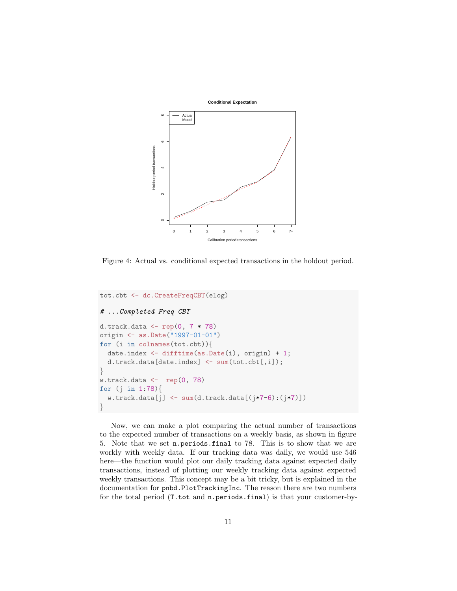

<span id="page-10-0"></span>Figure 4: Actual vs. conditional expected transactions in the holdout period.

```
tot.cbt <- dc.CreateFreqCBT(elog)
# ...Completed Freq CBT
d.track.data \leftarrow \text{rep}(0, 7 * 78)origin <- as.Date("1997-01-01")
for (i in colnames(tot.cbt)){
  date.index <- difftime(as.Date(i), origin) + 1;
  d.track.data[date.index] <- sum(tot.cbt[,i]);
}
w.track.data \leftarrow rep(0, 78)for (j in 1:78){
  w.\text{track.data}[j] \leftarrow \text{sum}(d.\text{track.data}[(j*7-6):(j*7)]}
```
Now, we can make a plot comparing the actual number of transactions to the expected number of transactions on a weekly basis, as shown in figure [5.](#page-11-0) Note that we set n.periods.final to 78. This is to show that we are workly with weekly data. If our tracking data was daily, we would use 546 here—the function would plot our daily tracking data against expected daily transactions, instead of plotting our weekly tracking data against expected weekly transactions. This concept may be a bit tricky, but is explained in the documentation for pnbd.PlotTrackingInc. The reason there are two numbers for the total period (T.tot and n.periods.final) is that your customer-by-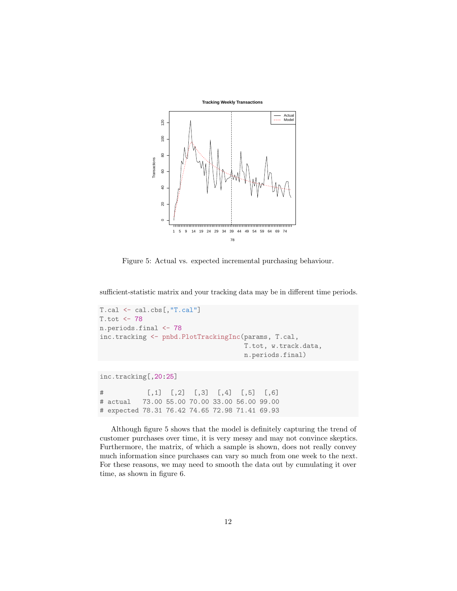

<span id="page-11-0"></span>Figure 5: Actual vs. expected incremental purchasing behaviour.

sufficient-statistic matrix and your tracking data may be in different time periods.

```
T.cal <- cal.cbs[,"T.cal"]
T.tot <- 78
n.periods.final <- 78
inc.tracking <- pnbd.PlotTrackingInc(params, T.cal,
                                     T.tot, w.track.data,
                                     n.periods.final)
```
inc.tracking[,20:25]

# [,1] [,2] [,3] [,4] [,5] [,6] # actual 73.00 55.00 70.00 33.00 56.00 99.00 # expected 78.31 76.42 74.65 72.98 71.41 69.93

Although figure [5](#page-11-0) shows that the model is definitely capturing the trend of customer purchases over time, it is very messy and may not convince skeptics. Furthermore, the matrix, of which a sample is shown, does not really convey much information since purchases can vary so much from one week to the next. For these reasons, we may need to smooth the data out by cumulating it over time, as shown in figure [6.](#page-12-0)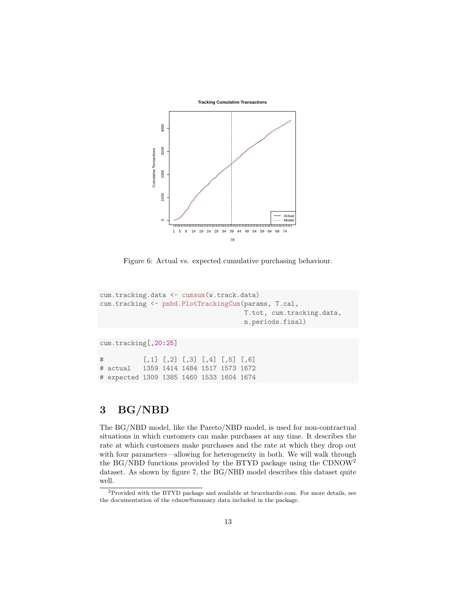

<span id="page-12-0"></span>Figure 6: Actual vs. expected cumulative purchasing behaviour.

```
cum.tracking.data <- cumsum(w.track.data)
cum.tracking <- pnbd.PlotTrackingCum(params, T.cal,
                                     T.tot, cum.tracking.data,
                                     n.periods.final)
```
cum.tracking[,20:25]

# [,1] [,2] [,3] [,4] [,5] [,6] # actual 1359 1414 1484 1517 1573 1672 # expected 1309 1385 1460 1533 1604 1674

# 3 BG/NBD

The BG/NBD model, like the Pareto/NBD model, is used for non-contractual situations in which customers can make purchases at any time. It describes the rate at which customers make purchases and the rate at which they drop out with four parameters—allowing for heterogeneity in both. We will walk through the BG/NBD functions provided by the BTYD package using the CDNOW[2](#page-12-1) dataset. As shown by figure [7,](#page-13-0) the BG/NBD model describes this dataset quite well.

<span id="page-12-1"></span><sup>2</sup>Provided with the BTYD package and available at [brucehardie.com.](http://www.brucehardie.com) For more details, see the documentation of the cdnowSummary data included in the package.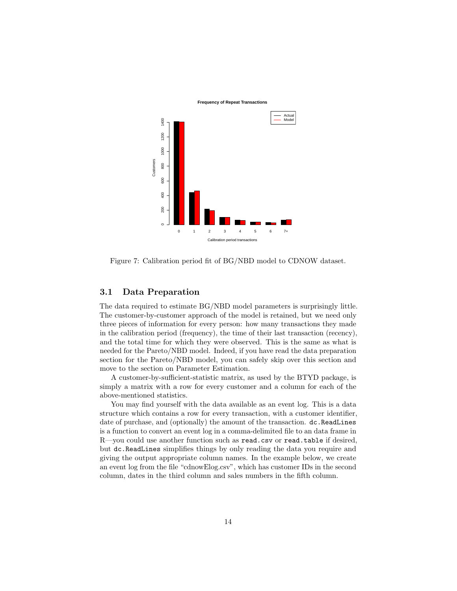



<span id="page-13-0"></span>Figure 7: Calibration period fit of BG/NBD model to CDNOW dataset.

#### 3.1 Data Preparation

The data required to estimate BG/NBD model parameters is surprisingly little. The customer-by-customer approach of the model is retained, but we need only three pieces of information for every person: how many transactions they made in the calibration period (frequency), the time of their last transaction (recency), and the total time for which they were observed. This is the same as what is needed for the Pareto/NBD model. Indeed, if you have read the data preparation section for the Pareto/NBD model, you can safely skip over this section and move to the section on Parameter Estimation.

A customer-by-sufficient-statistic matrix, as used by the BTYD package, is simply a matrix with a row for every customer and a column for each of the above-mentioned statistics.

You may find yourself with the data available as an event log. This is a data structure which contains a row for every transaction, with a customer identifier, date of purchase, and (optionally) the amount of the transaction. dc.ReadLines is a function to convert an event log in a comma-delimited file to an data frame in R—you could use another function such as read.csv or read.table if desired, but dc.ReadLines simplifies things by only reading the data you require and giving the output appropriate column names. In the example below, we create an event log from the file "cdnowElog.csv", which has customer IDs in the second column, dates in the third column and sales numbers in the fifth column.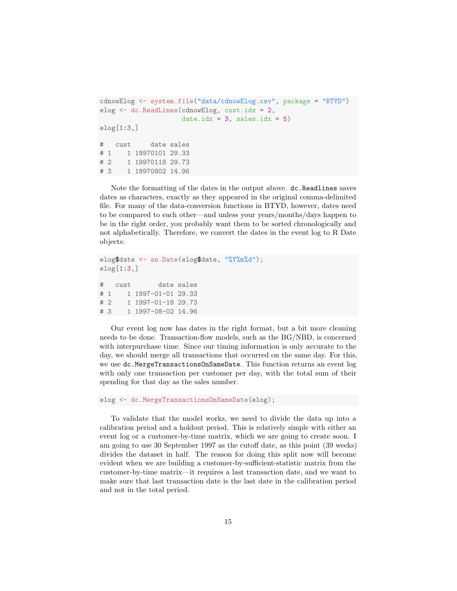```
cdnowElog <- system.file("data/cdnowElog.csv", package = "BTYD")
elog <- dc.ReadLines(cdnowElog, cust.idx = 2,
                    date.idx = 3, sales.idx = 5)
elog[1:3]# cust date sales
# 1 1 19970101 29.33
# 2 1 19970118 29.73
# 3 1 19970802 14.96
```
Note the formatting of the dates in the output above. dc.Readlines saves dates as characters, exactly as they appeared in the original comma-delimited file. For many of the data-conversion functions in BTYD, however, dates need to be compared to each other—and unless your years/months/days happen to be in the right order, you probably want them to be sorted chronologically and not alphabetically. Therefore, we convert the dates in the event log to R Date objects:

```
elog$date <- as.Date(elog$date, "%Y%m%d");
elog[1:3,]
# cust date sales
# 1 1 1997-01-01 29.33
# 2 1 1997-01-18 29.73
# 3 1 1997-08-02 14.96
```
Our event log now has dates in the right format, but a bit more cleaning needs to be done. Transaction-flow models, such as the BG/NBD, is concerned with interpurchase time. Since our timing information is only accurate to the day, we should merge all transactions that occurred on the same day. For this, we use dc.MergeTransactionsOnSameDate. This function returns an event log with only one transaction per customer per day, with the total sum of their spending for that day as the sales number.

elog <- dc.MergeTransactionsOnSameDate(elog);

To validate that the model works, we need to divide the data up into a calibration period and a holdout period. This is relatively simple with either an event log or a customer-by-time matrix, which we are going to create soon. I am going to use 30 September 1997 as the cutoff date, as this point (39 weeks) divides the dataset in half. The reason for doing this split now will become evident when we are building a customer-by-sufficient-statistic matrix from the customer-by-time matrix—it requires a last transaction date, and we want to make sure that last transaction date is the last date in the calibration period and not in the total period.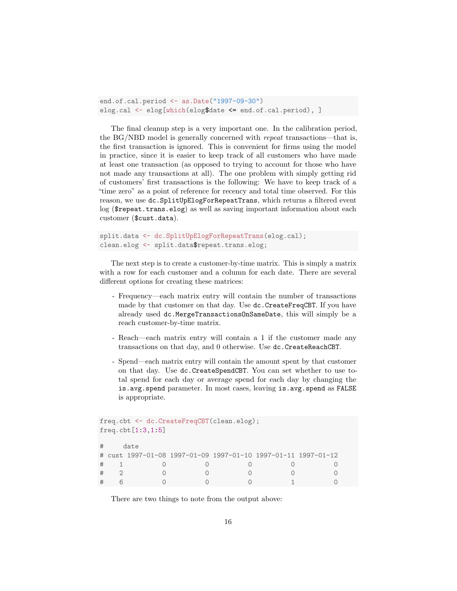```
end.of.cal.period <- as.Date("1997-09-30")
elog.cal <- elog[which(elog$date <= end.of.cal.period), ]
```
The final cleanup step is a very important one. In the calibration period, the BG/NBD model is generally concerned with repeat transactions—that is, the first transaction is ignored. This is convenient for firms using the model in practice, since it is easier to keep track of all customers who have made at least one transaction (as opposed to trying to account for those who have not made any transactions at all). The one problem with simply getting rid of customers' first transactions is the following: We have to keep track of a "time zero" as a point of reference for recency and total time observed. For this reason, we use dc.SplitUpElogForRepeatTrans, which returns a filtered event log (\$repeat.trans.elog) as well as saving important information about each customer (\$cust.data).

```
split.data <- dc.SplitUpElogForRepeatTrans(elog.cal);
clean.elog <- split.data$repeat.trans.elog;
```
The next step is to create a customer-by-time matrix. This is simply a matrix with a row for each customer and a column for each date. There are several different options for creating these matrices:

- Frequency—each matrix entry will contain the number of transactions made by that customer on that day. Use dc.CreateFreqCBT. If you have already used dc.MergeTransactionsOnSameDate, this will simply be a reach customer-by-time matrix.
- Reach—each matrix entry will contain a 1 if the customer made any transactions on that day, and 0 otherwise. Use dc.CreateReachCBT.
- Spend—each matrix entry will contain the amount spent by that customer on that day. Use dc.CreateSpendCBT. You can set whether to use total spend for each day or average spend for each day by changing the is.avg.spend parameter. In most cases, leaving is.avg.spend as FALSE is appropriate.

```
freq.cbt <- dc.CreateFreqCBT(clean.elog);
freq.cbt[1:3,1:5]
# date
# cust 1997-01-08 1997-01-09 1997-01-10 1997-01-11 1997-01-12
# 1 0 0 0 0 0
# 2 0 0 0 0 0
# 6 0 0 0 1 0
```
There are two things to note from the output above: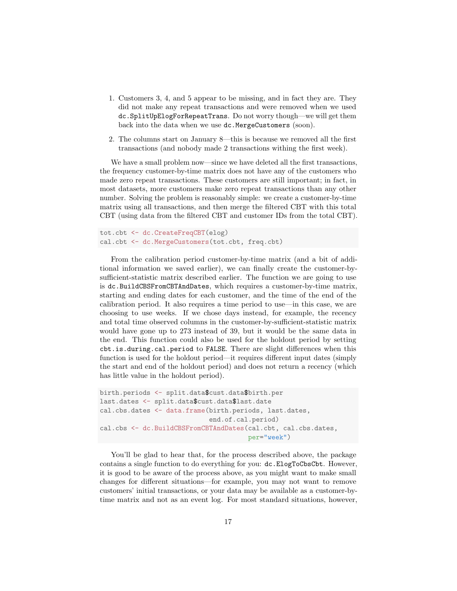- 1. Customers 3, 4, and 5 appear to be missing, and in fact they are. They did not make any repeat transactions and were removed when we used dc.SplitUpElogForRepeatTrans. Do not worry though—we will get them back into the data when we use dc.MergeCustomers (soon).
- 2. The columns start on January 8—this is because we removed all the first transactions (and nobody made 2 transactions withing the first week).

We have a small problem now—since we have deleted all the first transactions, the frequency customer-by-time matrix does not have any of the customers who made zero repeat transactions. These customers are still important; in fact, in most datasets, more customers make zero repeat transactions than any other number. Solving the problem is reasonably simple: we create a customer-by-time matrix using all transactions, and then merge the filtered CBT with this total CBT (using data from the filtered CBT and customer IDs from the total CBT).

```
tot.cbt <- dc.CreateFreqCBT(elog)
cal.cbt <- dc.MergeCustomers(tot.cbt, freq.cbt)
```
From the calibration period customer-by-time matrix (and a bit of additional information we saved earlier), we can finally create the customer-bysufficient-statistic matrix described earlier. The function we are going to use is dc.BuildCBSFromCBTAndDates, which requires a customer-by-time matrix, starting and ending dates for each customer, and the time of the end of the calibration period. It also requires a time period to use—in this case, we are choosing to use weeks. If we chose days instead, for example, the recency and total time observed columns in the customer-by-sufficient-statistic matrix would have gone up to 273 instead of 39, but it would be the same data in the end. This function could also be used for the holdout period by setting cbt.is.during.cal.period to FALSE. There are slight differences when this function is used for the holdout period—it requires different input dates (simply the start and end of the holdout period) and does not return a recency (which has little value in the holdout period).

```
birth.periods <- split.data$cust.data$birth.per
last.dates <- split.data$cust.data$last.date
cal.cbs.dates <- data.frame(birth.periods, last.dates,
                            end.of.cal.period)
cal.cbs <- dc.BuildCBSFromCBTAndDates(cal.cbt, cal.cbs.dates,
                                      per="week")
```
You'll be glad to hear that, for the process described above, the package contains a single function to do everything for you: dc.ElogToCbsCbt. However, it is good to be aware of the process above, as you might want to make small changes for different situations—for example, you may not want to remove customers' initial transactions, or your data may be available as a customer-bytime matrix and not as an event log. For most standard situations, however,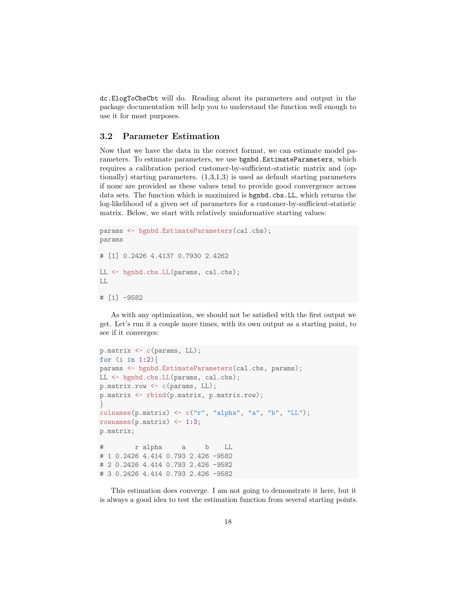dc.ElogToCbsCbt will do. Reading about its parameters and output in the package documentation will help you to understand the function well enough to use it for most purposes.

#### 3.2 Parameter Estimation

Now that we have the data in the correct format, we can estimate model parameters. To estimate parameters, we use bgnbd.EstimateParameters, which requires a calibration period customer-by-sufficient-statistic matrix and (optionally) starting parameters.  $(1,3,1,3)$  is used as default starting parameters if none are provided as these values tend to provide good convergence across data sets. The function which is maximized is bgnbd.cbs.LL, which returns the log-likelihood of a given set of parameters for a customer-by-sufficient-statistic matrix. Below, we start with relatively uninformative starting values:

```
params <- bgnbd.EstimateParameters(cal.cbs);
params
# [1] 0.2426 4.4137 0.7930 2.4262
LL <- bgnbd.cbs.LL(params, cal.cbs);
LL
# [1] -9582
```
As with any optimization, we should not be satisfied with the first output we get. Let's run it a couple more times, with its own output as a starting point, to see if it converges:

```
p.matrix <- c(params, LL);
for (i \text{ in } 1:2)params <- bgnbd.EstimateParameters(cal.cbs, params);
LL <- bgnbd.cbs.LL(params, cal.cbs);
p.matrix.row <- c(params, LL);
p.matrix <- rbind(p.matrix, p.matrix.row);
}
colnames(p.matrix) \leq c("r", "alpha", "a", "b", "LL");rownames(p.matrix) <-1:3;p.matrix;
# r alpha a b LL
# 1 0.2426 4.414 0.793 2.426 -9582
# 2 0.2426 4.414 0.793 2.426 -9582
# 3 0.2426 4.414 0.793 2.426 -9582
```
This estimation does converge. I am not going to demonstrate it here, but it is always a good idea to test the estimation function from several starting points.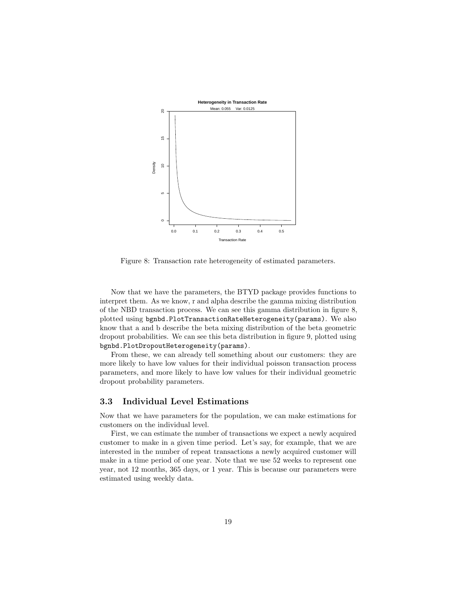

<span id="page-18-0"></span>Figure 8: Transaction rate heterogeneity of estimated parameters.

Now that we have the parameters, the BTYD package provides functions to interpret them. As we know, r and alpha describe the gamma mixing distribution of the NBD transaction process. We can see this gamma distribution in figure [8,](#page-18-0) plotted using bgnbd.PlotTransactionRateHeterogeneity(params). We also know that a and b describe the beta mixing distribution of the beta geometric dropout probabilities. We can see this beta distribution in figure [9,](#page-19-0) plotted using bgnbd.PlotDropoutHeterogeneity(params).

From these, we can already tell something about our customers: they are more likely to have low values for their individual poisson transaction process parameters, and more likely to have low values for their individual geometric dropout probability parameters.

#### 3.3 Individual Level Estimations

Now that we have parameters for the population, we can make estimations for customers on the individual level.

First, we can estimate the number of transactions we expect a newly acquired customer to make in a given time period. Let's say, for example, that we are interested in the number of repeat transactions a newly acquired customer will make in a time period of one year. Note that we use 52 weeks to represent one year, not 12 months, 365 days, or 1 year. This is because our parameters were estimated using weekly data.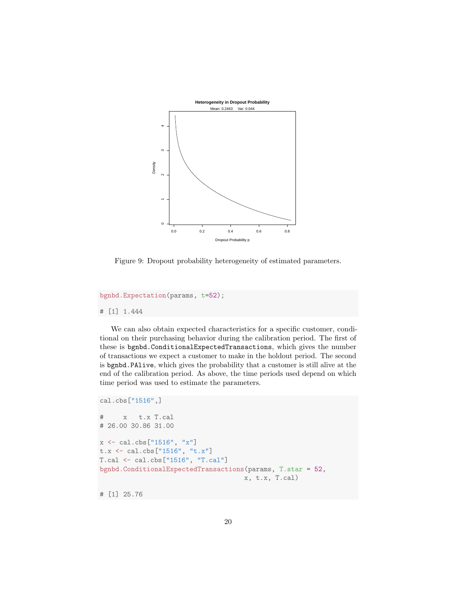

<span id="page-19-0"></span>Figure 9: Dropout probability heterogeneity of estimated parameters.

bgnbd.Expectation(params, t=52); # [1] 1.444

We can also obtain expected characteristics for a specific customer, conditional on their purchasing behavior during the calibration period. The first of these is bgnbd.ConditionalExpectedTransactions, which gives the number of transactions we expect a customer to make in the holdout period. The second is bgnbd.PAlive, which gives the probability that a customer is still alive at the end of the calibration period. As above, the time periods used depend on which time period was used to estimate the parameters.

```
cal.cbs["1516",]
# x t.x T.cal
# 26.00 30.86 31.00
x \leftarrow cal. cbs["1516", "x"]t.x <- cal.cbs["1516", "t.x"]
T.cal <- cal.cbs["1516", "T.cal"]
bgnbd.ConditionalExpectedTransactions(params, T.star = 52,
                                      x, t.x, T.cal)
# [1] 25.76
```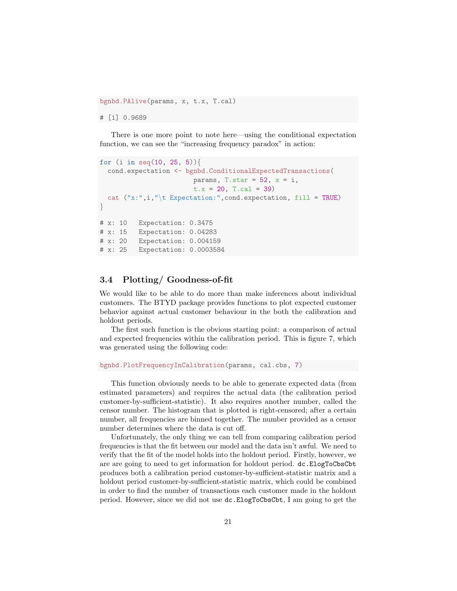bgnbd.PAlive(params, x, t.x, T.cal) # [1] 0.9689

There is one more point to note here—using the conditional expectation function, we can see the "increasing frequency paradox" in action:

```
for (i in seq(10, 25, 5)){
  cond.expectation <- bgnbd.ConditionalExpectedTransactions(
                        params, T.star = 52, x = i,
                        t.x = 20, T.ca1 = 39)cat ("x:", i, "\text{tr}} Expectation:", cond.expectation, fill = TRUE)
}
# x: 10 Expectation: 0.3475
# x: 15 Expectation: 0.04283
# x: 20 Expectation: 0.004159
# x: 25 Expectation: 0.0003584
```
#### 3.4 Plotting/ Goodness-of-fit

We would like to be able to do more than make inferences about individual customers. The BTYD package provides functions to plot expected customer behavior against actual customer behaviour in the both the calibration and holdout periods.

The first such function is the obvious starting point: a comparison of actual and expected frequencies within the calibration period. This is figure [7,](#page-13-0) which was generated using the following code:

```
bgnbd.PlotFrequencyInCalibration(params, cal.cbs, 7)
```
This function obviously needs to be able to generate expected data (from estimated parameters) and requires the actual data (the calibration period customer-by-sufficient-statistic). It also requires another number, called the censor number. The histogram that is plotted is right-censored; after a certain number, all frequencies are binned together. The number provided as a censor number determines where the data is cut off.

Unfortunately, the only thing we can tell from comparing calibration period frequencies is that the fit between our model and the data isn't awful. We need to verify that the fit of the model holds into the holdout period. Firstly, however, we are are going to need to get information for holdout period. dc.ElogToCbsCbt produces both a calibration period customer-by-sufficient-statistic matrix and a holdout period customer-by-sufficient-statistic matrix, which could be combined in order to find the number of transactions each customer made in the holdout period. However, since we did not use dc.ElogToCbsCbt, I am going to get the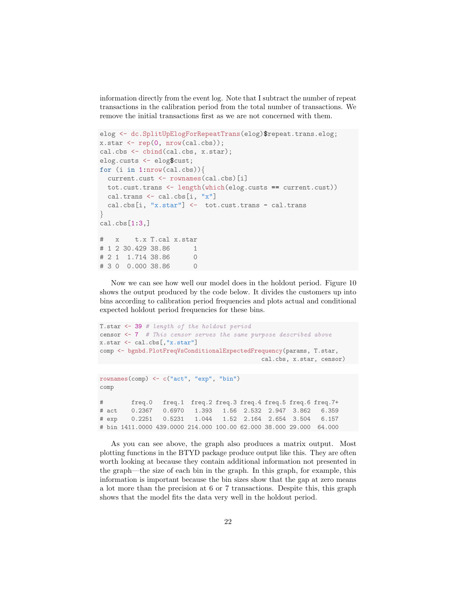information directly from the event log. Note that I subtract the number of repeat transactions in the calibration period from the total number of transactions. We remove the initial transactions first as we are not concerned with them.

```
elog <- dc.SplitUpElogForRepeatTrans(elog)$repeat.trans.elog;
x.start \leftarrow rep(0, nrow(cal.cbs));cal.cbs <- cbind(cal.cbs, x.star);
elog.custs <- elog$cust;
for (i in 1:nrow(cal.cbs)){
  current.cust <- rownames(cal.cbs)[i]
 tot.cust.trans <- length(which(elog.custs == current.cust))
 cal.trans <- cal.cbs[i, "x"]
 cal.cbs[i, "x.star"] <- tot.cust.trans - cal.trans
}
cal.obs[1:3.]# x t.x T.cal x.star
# 1 2 30.429 38.86 1
# 2 1 1.714 38.86 0
# 3 0 0.000 38.86 0
```
Now we can see how well our model does in the holdout period. Figure [10](#page-22-0) shows the output produced by the code below. It divides the customers up into bins according to calibration period frequencies and plots actual and conditional expected holdout period frequencies for these bins.

```
T.star <- 39 # length of the holdout period
censor \leq 7 # This censor serves the same purpose described above
x.star <- cal.cbs[,"x.star"]
comp <- bgnbd.PlotFreqVsConditionalExpectedFrequency(params, T.star,
                                              cal.cbs, x.star, censor)
```

```
rownames(comp) <- c("act", "exp", "bin")
comp
# freq.0 freq.1 freq.2 freq.3 freq.4 freq.5 freq.6 freq.7+
# act 0.2367 0.6970 1.393 1.56 2.532 2.947 3.862 6.359
# exp 0.2251 0.5231 1.044 1.52 2.164 2.654 3.504 6.157
# bin 1411.0000 439.0000 214.000 100.00 62.000 38.000 29.000 64.000
```
As you can see above, the graph also produces a matrix output. Most plotting functions in the BTYD package produce output like this. They are often worth looking at because they contain additional information not presented in the graph—the size of each bin in the graph. In this graph, for example, this information is important because the bin sizes show that the gap at zero means a lot more than the precision at 6 or 7 transactions. Despite this, this graph shows that the model fits the data very well in the holdout period.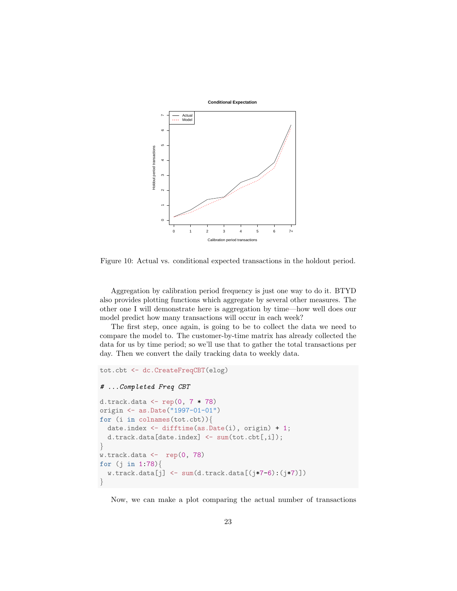

<span id="page-22-0"></span>Figure 10: Actual vs. conditional expected transactions in the holdout period.

Aggregation by calibration period frequency is just one way to do it. BTYD also provides plotting functions which aggregate by several other measures. The other one I will demonstrate here is aggregation by time—how well does our model predict how many transactions will occur in each week?

The first step, once again, is going to be to collect the data we need to compare the model to. The customer-by-time matrix has already collected the data for us by time period; so we'll use that to gather the total transactions per day. Then we convert the daily tracking data to weekly data.

```
tot.cbt <- dc.CreateFreqCBT(elog)
# ...Completed Freq CBT
d.track.data <- rep(0, 7 * 78)
origin <- as.Date("1997-01-01")
for (i in colnames(tot.cbt)){
  date.index <- difftime(as.Date(i), origin) + 1;
  d.track.data[date.index] <- sum(tot.cbt[,i]);
}
w.track.data \leftarrow rep(0, 78)for (j in 1:78){
  w.\text{track.data}[i] \leftarrow \text{sum}(d.\text{track.data}[(i*7-6):(i*7)]}
```
Now, we can make a plot comparing the actual number of transactions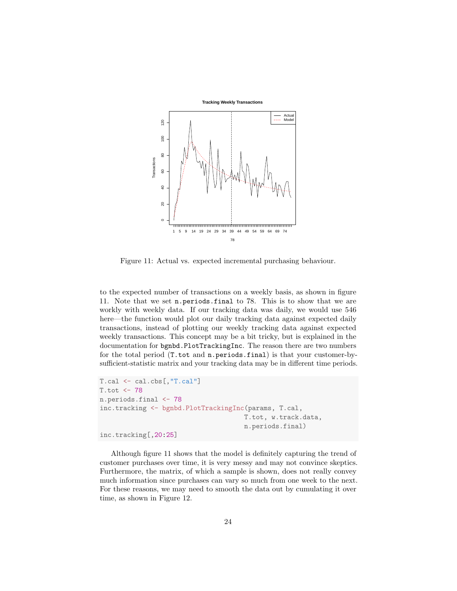

<span id="page-23-0"></span>Figure 11: Actual vs. expected incremental purchasing behaviour.

to the expected number of transactions on a weekly basis, as shown in figure [11.](#page-23-0) Note that we set n.periods.final to 78. This is to show that we are workly with weekly data. If our tracking data was daily, we would use 546 here—the function would plot our daily tracking data against expected daily transactions, instead of plotting our weekly tracking data against expected weekly transactions. This concept may be a bit tricky, but is explained in the documentation for bgnbd.PlotTrackingInc. The reason there are two numbers for the total period (T.tot and n.periods.final) is that your customer-bysufficient-statistic matrix and your tracking data may be in different time periods.

```
T.cal <- cal.cbs[,"T.cal"]
T.tot <- 78
n.periods.final <- 78
inc.tracking <- bgnbd.PlotTrackingInc(params, T.cal,
                                      T.tot, w.track.data,
                                      n.periods.final)
inc.tracking[,20:25]
```
Although figure [11](#page-23-0) shows that the model is definitely capturing the trend of customer purchases over time, it is very messy and may not convince skeptics. Furthermore, the matrix, of which a sample is shown, does not really convey much information since purchases can vary so much from one week to the next. For these reasons, we may need to smooth the data out by cumulating it over time, as shown in Figure [12.](#page-24-0)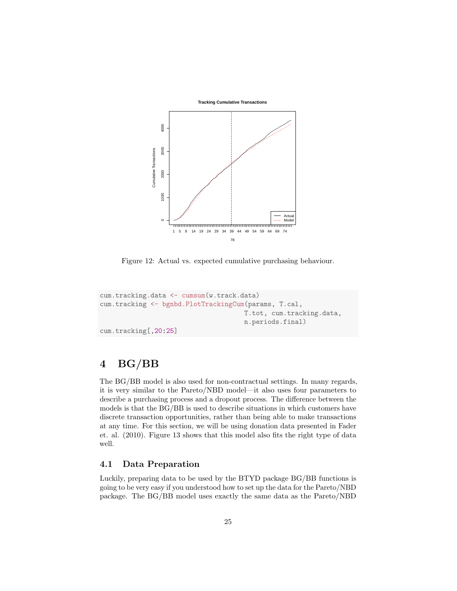

<span id="page-24-0"></span>Figure 12: Actual vs. expected cumulative purchasing behaviour.

```
cum.tracking.data <- cumsum(w.track.data)
cum.tracking <- bgnbd.PlotTrackingCum(params, T.cal,
                                     T.tot, cum.tracking.data,
                                     n.periods.final)
cum.tracking[,20:25]
```
# 4 BG/BB

The BG/BB model is also used for non-contractual settings. In many regards, it is very similar to the Pareto/NBD model—it also uses four parameters to describe a purchasing process and a dropout process. The difference between the models is that the BG/BB is used to describe situations in which customers have discrete transaction opportunities, rather than being able to make transactions at any time. For this section, we will be using donation data presented in Fader et. al. (2010). Figure [13](#page-25-0) shows that this model also fits the right type of data well.

### 4.1 Data Preparation

Luckily, preparing data to be used by the BTYD package BG/BB functions is going to be very easy if you understood how to set up the data for the Pareto/NBD package. The BG/BB model uses exactly the same data as the Pareto/NBD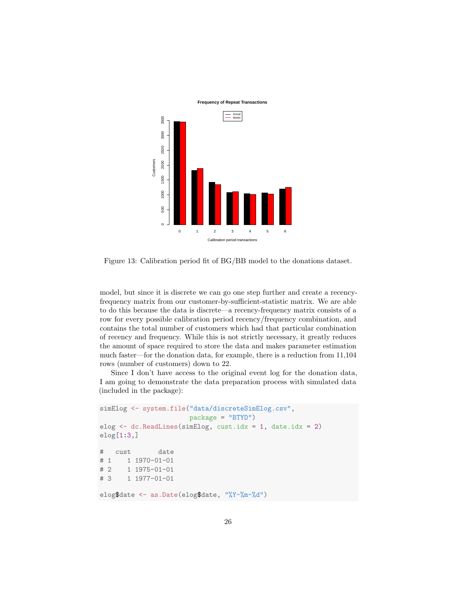

<span id="page-25-0"></span>Figure 13: Calibration period fit of BG/BB model to the donations dataset.

model, but since it is discrete we can go one step further and create a recencyfrequency matrix from our customer-by-sufficient-statistic matrix. We are able to do this because the data is discrete—a recency-frequency matrix consists of a row for every possible calibration period recency/frequency combination, and contains the total number of customers which had that particular combination of recency and frequency. While this is not strictly necessary, it greatly reduces the amount of space required to store the data and makes parameter estimation much faster—for the donation data, for example, there is a reduction from 11,104 rows (number of customers) down to 22.

Since I don't have access to the original event log for the donation data, I am going to demonstrate the data preparation process with simulated data (included in the package):

```
simElog <- system.file("data/discreteSimElog.csv",
                      package = "BTYD")
elog \leq dc. ReadLines (simElog, cust.idx = 1, date.idx = 2)
elog[1:3,]
# cust date
# 1 1 1970-01-01
# 2 1 1975-01-01
# 3 1 1977-01-01
elog$date <- as.Date(elog$date, "%Y-%m-%d")
```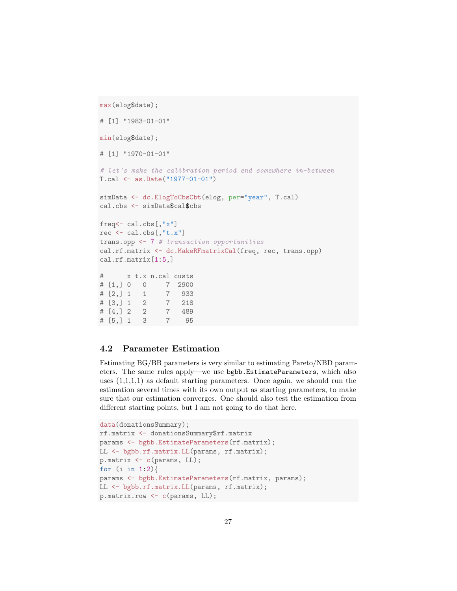```
max(elog$date);
# [1] "1983-01-01"
min(elog$date);
# [1] "1970-01-01"
# let's make the calibration period end somewhere in-between
T.cal <- as.Date("1977-01-01")
simData <- dc.ElogToCbsCbt(elog, per="year", T.cal)
cal.cbs <- simData$cal$cbs
freq<- cal.cbs[,"x"]
rec <- cal.cbs[,"t.x"]
trans.opp <- 7 # transaction opportunities
cal.rf.matrix <- dc.MakeRFmatrixCal(freq, rec, trans.opp)
cal.rf.matrix[1:5,]
# x t.x n.cal custs
# [1,] 0 0 7 2900
# [2,] 1 1 7 933
# [3,] 1 2 7 218
# [4,] 2 2 7 489
# [5,] 1 3 7 95
```
#### 4.2 Parameter Estimation

Estimating BG/BB parameters is very similar to estimating Pareto/NBD parameters. The same rules apply—we use bgbb.EstimateParameters, which also uses  $(1,1,1,1)$  as default starting parameters. Once again, we should run the estimation several times with its own output as starting parameters, to make sure that our estimation converges. One should also test the estimation from different starting points, but I am not going to do that here.

```
data(donationsSummary);
rf.matrix <- donationsSummary$rf.matrix
params <- bgbb.EstimateParameters(rf.matrix);
LL <- bgbb.rf.matrix.LL(params, rf.matrix);
p.matrix <- c(params, LL);
for (i \text{ in } 1:2)params <- bgbb.EstimateParameters(rf.matrix, params);
LL <- bgbb.rf.matrix.LL(params, rf.matrix);
p.matrix.row <- c(params, LL);
```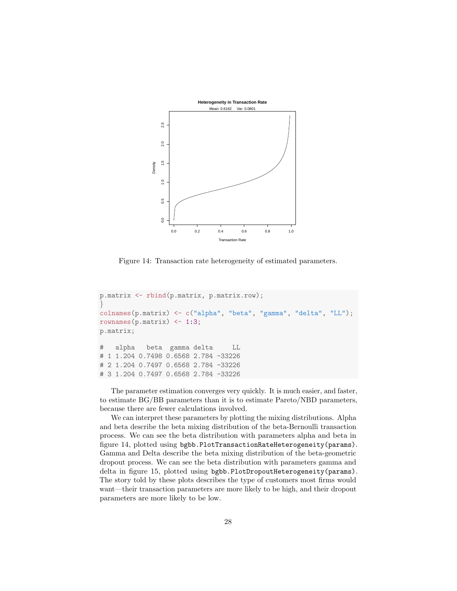

<span id="page-27-0"></span>Figure 14: Transaction rate heterogeneity of estimated parameters.

```
p.matrix <- rbind(p.matrix, p.matrix.row);
}
colnames(p.matrix) <- c("alpha", "beta", "gamma", "delta", "LL");
rownames(p.matrix) \leftarrow 1:3;
p.matrix;
# alpha beta gamma delta LL
# 1 1.204 0.7498 0.6568 2.784 -33226
# 2 1.204 0.7497 0.6568 2.784 -33226
# 3 1.204 0.7497 0.6568 2.784 -33226
```
The parameter estimation converges very quickly. It is much easier, and faster, to estimate BG/BB parameters than it is to estimate Pareto/NBD parameters, because there are fewer calculations involved.

We can interpret these parameters by plotting the mixing distributions. Alpha and beta describe the beta mixing distribution of the beta-Bernoulli transaction process. We can see the beta distribution with parameters alpha and beta in figure [14,](#page-27-0) plotted using bgbb.PlotTransactionRateHeterogeneity(params). Gamma and Delta describe the beta mixing distribution of the beta-geometric dropout process. We can see the beta distribution with parameters gamma and delta in figure [15,](#page-28-0) plotted using bgbb.PlotDropoutHeterogeneity(params). The story told by these plots describes the type of customers most firms would want—their transaction parameters are more likely to be high, and their dropout parameters are more likely to be low.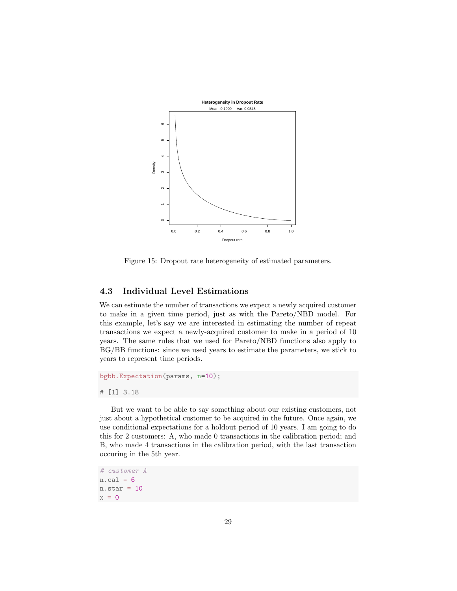

<span id="page-28-0"></span>Figure 15: Dropout rate heterogeneity of estimated parameters.

#### 4.3 Individual Level Estimations

We can estimate the number of transactions we expect a newly acquired customer to make in a given time period, just as with the Pareto/NBD model. For this example, let's say we are interested in estimating the number of repeat transactions we expect a newly-acquired customer to make in a period of 10 years. The same rules that we used for Pareto/NBD functions also apply to BG/BB functions: since we used years to estimate the parameters, we stick to years to represent time periods.

```
bgbb.Expectation(params, n=10);
# [1] 3.18
```
But we want to be able to say something about our existing customers, not just about a hypothetical customer to be acquired in the future. Once again, we use conditional expectations for a holdout period of 10 years. I am going to do this for 2 customers: A, who made 0 transactions in the calibration period; and B, who made 4 transactions in the calibration period, with the last transaction occuring in the 5th year.

# customer A  $n.cal = 6$  $n.star = 10$  $x = 0$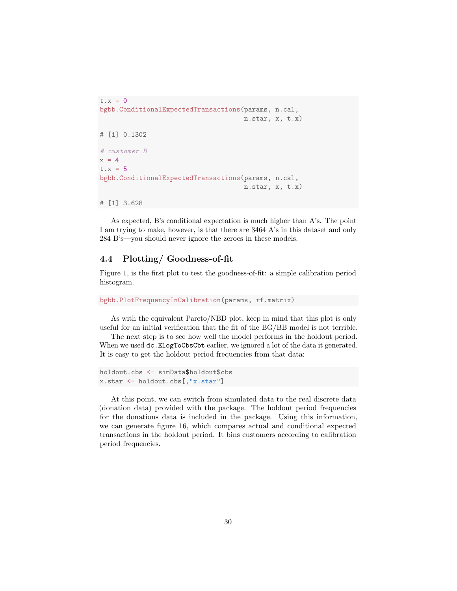```
t.x = 0bgbb.ConditionalExpectedTransactions(params, n.cal,
                                     n.star, x, t.x)
# [1] 0.1302
# customer B
x = 4t.x = 5bgbb.ConditionalExpectedTransactions(params, n.cal,
                                     n.star, x, t.x)
# [1] 3.628
```
As expected, B's conditional expectation is much higher than A's. The point I am trying to make, however, is that there are 3464 A's in this dataset and only 284 B's—you should never ignore the zeroes in these models.

#### 4.4 Plotting/ Goodness-of-fit

Figure [1,](#page-1-0) is the first plot to test the goodness-of-fit: a simple calibration period histogram.

```
bgbb.PlotFrequencyInCalibration(params, rf.matrix)
```
As with the equivalent Pareto/NBD plot, keep in mind that this plot is only useful for an initial verification that the fit of the BG/BB model is not terrible.

The next step is to see how well the model performs in the holdout period. When we used  $dc$ . ElogToCbsCbt earlier, we ignored a lot of the data it generated. It is easy to get the holdout period frequencies from that data:

```
holdout.cbs <- simData$holdout$cbs
x.star <- holdout.cbs[,"x.star"]
```
At this point, we can switch from simulated data to the real discrete data (donation data) provided with the package. The holdout period frequencies for the donations data is included in the package. Using this information, we can generate figure [16,](#page-30-0) which compares actual and conditional expected transactions in the holdout period. It bins customers according to calibration period frequencies.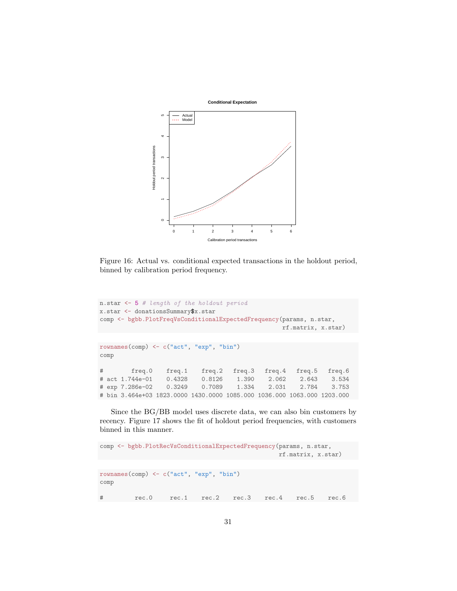

<span id="page-30-0"></span>Figure 16: Actual vs. conditional expected transactions in the holdout period, binned by calibration period frequency.

```
n.star <- 5 # length of the holdout period
x.star <- donationsSummary$x.star
comp <- bgbb.PlotFreqVsConditionalExpectedFrequency(params, n.star,
                                              rf.matrix, x.star)
rownames(comp) <- c("act", "exp", "bin")
comp
# freq.0 freq.1 freq.2 freq.3 freq.4 freq.5 freq.6
# act 1.744e-01 0.4328 0.8126 1.390 2.062 2.643 3.534
# exp 7.286e-02 0.3249 0.7089 1.334 2.031 2.784 3.753
# bin 3.464e+03 1823.0000 1430.0000 1085.000 1036.000 1063.000 1203.000
```
Since the BG/BB model uses discrete data, we can also bin customers by recency. Figure [17](#page-31-0) shows the fit of holdout period frequencies, with customers binned in this manner.

```
comp <- bgbb.PlotRecVsConditionalExpectedFrequency(params, n.star,
                                             rf.matrix, x.star)
rownames(comp) <- c("act", "exp", "bin")
comp
# rec.0 rec.1 rec.2 rec.3 rec.4 rec.5 rec.6
```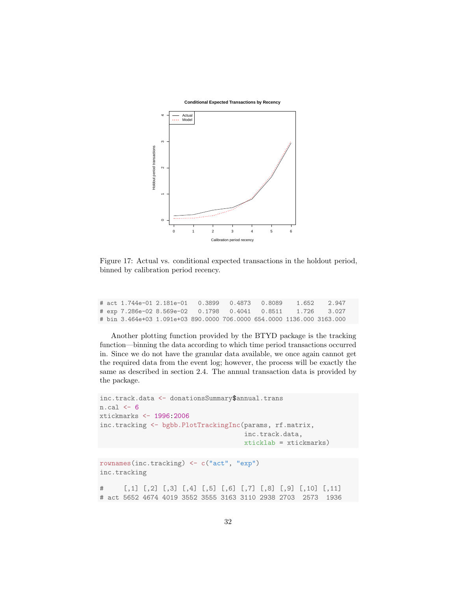**Conditional Expected Transactions by Recency**



<span id="page-31-0"></span>Figure 17: Actual vs. conditional expected transactions in the holdout period, binned by calibration period recency.

|  | # act 1.744e-01 2.181e-01  0.3899  0.4873  0.8089                      |  |  | 1.652 2.947 |
|--|------------------------------------------------------------------------|--|--|-------------|
|  | # exp 7.286e-02 8.569e-02  0.1798  0.4041  0.8511  1.726  3.027        |  |  |             |
|  | # bin 3.464e+03 1.091e+03 890.0000 706.0000 654.0000 1136.000 3163.000 |  |  |             |

Another plotting function provided by the BTYD package is the tracking function—binning the data according to which time period transactions occurred in. Since we do not have the granular data available, we once again cannot get the required data from the event log; however, the process will be exactly the same as described in section [2.4.](#page-8-0) The annual transaction data is provided by the package.

```
inc.track.data <- donationsSummary$annual.trans
n.cal < -6xtickmarks <- 1996:2006
inc.tracking <- bgbb.PlotTrackingInc(params, rf.matrix,
                                     inc.track.data,
                                     xticklab = xtickmarks)
```

```
rownames(inc.tracking) <- c("act", "exp")
inc.tracking
```
# [,1] [,2] [,3] [,4] [,5] [,6] [,7] [,8] [,9] [,10] [,11] # act 5652 4674 4019 3552 3555 3163 3110 2938 2703 2573 1936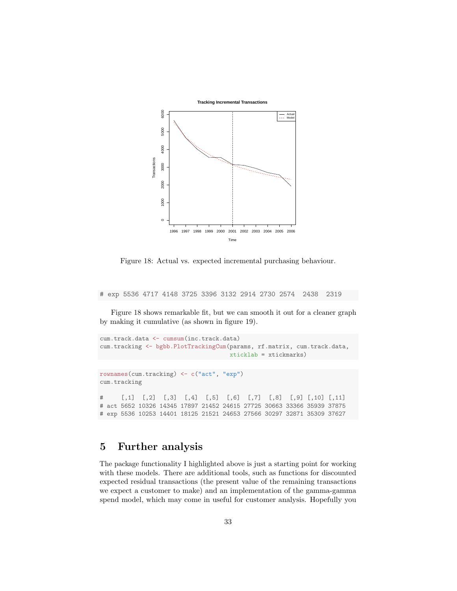

<span id="page-32-0"></span>Figure 18: Actual vs. expected incremental purchasing behaviour.

# exp 5536 4717 4148 3725 3396 3132 2914 2730 2574 2438 2319

Figure [18](#page-32-0) shows remarkable fit, but we can smooth it out for a cleaner graph by making it cumulative (as shown in figure [19\)](#page-33-0).

```
cum.track.data <- cumsum(inc.track.data)
cum.tracking <- bgbb.PlotTrackingCum(params, rf.matrix, cum.track.data,
                                    xticklab = xtickmarks)
rownames(cum.tracking) <- c("act", "exp")
cum.tracking
# [,1] [,2] [,3] [,4] [,5] [,6] [,7] [,8] [,9] [,10] [,11]
# act 5652 10326 14345 17897 21452 24615 27725 30663 33366 35939 37875
# exp 5536 10253 14401 18125 21521 24653 27566 30297 32871 35309 37627
```
## 5 Further analysis

The package functionality I highlighted above is just a starting point for working with these models. There are additional tools, such as functions for discounted expected residual transactions (the present value of the remaining transactions we expect a customer to make) and an implementation of the gamma-gamma spend model, which may come in useful for customer analysis. Hopefully you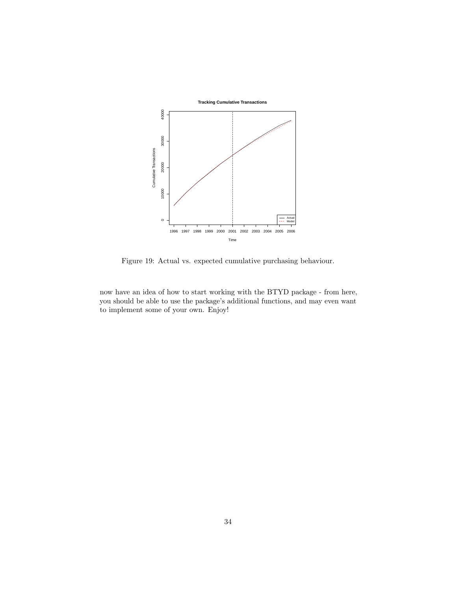

<span id="page-33-0"></span>Figure 19: Actual vs. expected cumulative purchasing behaviour.

now have an idea of how to start working with the BTYD package - from here, you should be able to use the package's additional functions, and may even want to implement some of your own. Enjoy!